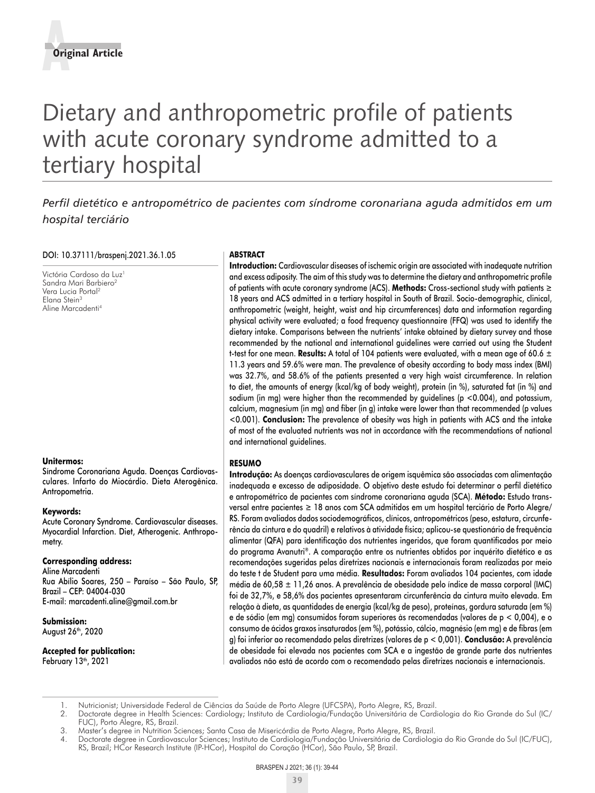# Dietary and anthropometric profile of patients with acute coronary syndrome admitted to a tertiary hospital

# *Perfil dietético e antropométrico de pacientes com síndrome coronariana aguda admitidos em um hospital terciário*

#### DOI: 10.37111/braspenj.2021.36.1.05

Victória Cardoso da Luz<sup>1</sup> Sandra Mari Barbiero<sup>2</sup> Vera Lucia Portal2 Elana Stein3 Aline Marcadenti4

#### **Unitermos:**

Síndrome Coronariana Aguda. Doenças Cardiovasculares. Infarto do Miocárdio. Dieta Aterogênica. Antropometria.

#### **Keywords:**

Acute Coronary Syndrome. Cardiovascular diseases. Myocardial Infarction. Diet, Atherogenic. Anthropometry.

#### **Corresponding address:**

Aline Marcadenti Rua Abílio Soares, 250 – Paraíso – São Paulo, SP, Brazil – CEP: 04004-030 E-mail: marcadenti.aline@gmail.com.br

**Submission:** August 26<sup>th</sup>, 2020

**Accepted for publication:** February 13<sup>th</sup>, 2021

#### **ABSTRACT**

**Introduction:** Cardiovascular diseases of ischemic origin are associated with inadequate nutrition and excess adiposity. The aim of this study was to determine the dietary and anthropometric profile of patients with acute coronary syndrome (ACS). **Methods:** Cross-sectional study with patients ≥ 18 years and ACS admitted in a tertiary hospital in South of Brazil. Socio-demographic, clinical, anthropometric (weight, height, waist and hip circumferences) data and information regarding physical activity were evaluated; a food frequency questionnaire (FFQ) was used to identify the dietary intake. Comparisons between the nutrients' intake obtained by dietary survey and those recommended by the national and international guidelines were carried out using the Student t-test for one mean. **Results:** A total of 104 patients were evaluated, with a mean age of 60.6  $\pm$ 11.3 years and 59.6% were man. The prevalence of obesity according to body mass index (BMI) was 32.7%, and 58.6% of the patients presented a very high waist circumference. In relation to diet, the amounts of energy (kcal/kg of body weight), protein (in %), saturated fat (in %) and sodium (in mg) were higher than the recommended by guidelines ( $p < 0.004$ ), and potassium, calcium, magnesium (in mg) and fiber (in g) intake were lower than that recommended (p values <0.001). **Conclusion:** The prevalence of obesity was high in patients with ACS and the intake of most of the evaluated nutrients was not in accordance with the recommendations of national and international guidelines.

# **RESUMO**

**Introdução:** As doenças cardiovasculares de origem isquêmica são associadas com alimentação inadequada e excesso de adiposidade. O objetivo deste estudo foi determinar o perfil dietético e antropométrico de pacientes com síndrome coronariana aguda (SCA). **Método:** Estudo transversal entre pacientes ≥ 18 anos com SCA admitidos em um hospital terciário de Porto Alegre/ RS. Foram avaliados dados sociodemográficos, clínicos, antropométricos (peso, estatura, circunferência da cintura e do quadril) e relativos à atividade física; aplicou-se questionário de frequência alimentar (QFA) para identificação dos nutrientes ingeridos, que foram quantificados por meio do programa Avanutri®. A comparação entre os nutrientes obtidos por inquérito dietético e as recomendações sugeridas pelas diretrizes nacionais e internacionais foram realizadas por meio do teste t de Student para uma média. **Resultados:** Foram avaliados 104 pacientes, com idade média de 60,58  $\pm$  11,26 anos. A prevalência de obesidade pelo índice de massa corporal (IMC) foi de 32,7%, e 58,6% dos pacientes apresentaram circunferência da cintura muito elevada. Em relação à dieta, as quantidades de energia (kcal/kg de peso), proteínas, gordura saturada (em %) e de sódio (em mg) consumidos foram superiores às recomendadas (valores de p < 0,004), e o consumo de ácidos graxos insaturados (em %), potássio, cálcio, magnésio (em mg) e de fibras (em g) foi inferior ao recomendado pelas diretrizes (valores de p < 0,001). **Conclusão:** A prevalência de obesidade foi elevada nos pacientes com SCA e a ingestão de grande parte dos nutrientes avaliados não está de acordo com o recomendado pelas diretrizes nacionais e internacionais.

<sup>1.</sup> Nutricionist; Universidade Federal de Ciências da Saúde de Porto Alegre (UFCSPA), Porto Alegre, RS, Brazil.

<sup>2.</sup> Doctorate degree in Health Sciences: Cardiology; Instituto de Cardiologia/Fundação Universitária de Cardiologia do Rio Grande do Sul (IC/ FUC), Porto Alegre, RS, Brazil.

<sup>3.</sup> Master's degree in Nutrition Sciences; Santa Casa de Misericórdia de Porto Alegre, Porto Alegre, RS, Brazil.

<sup>4.</sup> Doctorate degree in Cardiovascular Sciences; Instituto de Cardiologia/Fundação Universitária de Cardiologia do Rio Grande do Sul (IC/FUC), RS, Brazil; HCor Research Institute (IP-HCor), Hospital do Coração (HCor), São Paulo, SP, Brazil.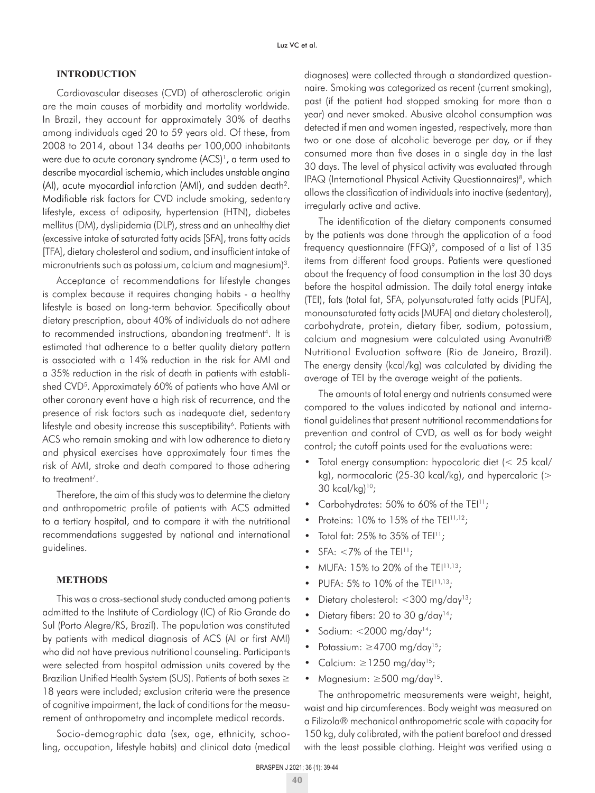# **INTRODUCTION**

Cardiovascular diseases (CVD) of atherosclerotic origin are the main causes of morbidity and mortality worldwide. In Brazil, they account for approximately 30% of deaths among individuals aged 20 to 59 years old. Of these, from 2008 to 2014, about 134 deaths per 100,000 inhabitants were due to acute coronary syndrome (ACS)<sup>1</sup>, a term used to describe myocardial ischemia, which includes unstable angina (AI), acute myocardial infarction (AMI), and sudden death2. Modifiable risk factors for CVD include smoking, sedentary lifestyle, excess of adiposity, hypertension (HTN), diabetes mellitus (DM), dyslipidemia (DLP), stress and an unhealthy diet (excessive intake of saturated fatty acids [SFA], trans fatty acids [TFA], dietary cholesterol and sodium, and insufficient intake of micronutrients such as potassium, calcium and magnesium)<sup>3</sup>.

Acceptance of recommendations for lifestyle changes is complex because it requires changing habits - a healthy lifestyle is based on long-term behavior. Specifically about dietary prescription, about 40% of individuals do not adhere to recommended instructions, abandoning treatment<sup>4</sup>. It is estimated that adherence to a better quality dietary pattern is associated with a 14% reduction in the risk for AMI and a 35% reduction in the risk of death in patients with established CVD<sup>5</sup>. Approximately 60% of patients who have AMI or other coronary event have a high risk of recurrence, and the presence of risk factors such as inadequate diet, sedentary lifestyle and obesity increase this susceptibility<sup>6</sup>. Patients with ACS who remain smoking and with low adherence to dietary and physical exercises have approximately four times the risk of AMI, stroke and death compared to those adhering to treatment<sup>7</sup>.

Therefore, the aim of this study was to determine the dietary and anthropometric profile of patients with ACS admitted to a tertiary hospital, and to compare it with the nutritional recommendations suggested by national and international guidelines.

## **METHODS**

This was a cross-sectional study conducted among patients admitted to the Institute of Cardiology (IC) of Rio Grande do Sul (Porto Alegre/RS, Brazil). The population was constituted by patients with medical diagnosis of ACS (AI or first AMI) who did not have previous nutritional counseling. Participants were selected from hospital admission units covered by the Brazilian Unified Health System (SUS). Patients of both sexes ≥ 18 years were included; exclusion criteria were the presence of cognitive impairment, the lack of conditions for the measurement of anthropometry and incomplete medical records.

Socio-demographic data (sex, age, ethnicity, schooling, occupation, lifestyle habits) and clinical data (medical diagnoses) were collected through a standardized questionnaire. Smoking was categorized as recent (current smoking), past (if the patient had stopped smoking for more than a year) and never smoked. Abusive alcohol consumption was detected if men and women ingested, respectively, more than two or one dose of alcoholic beverage per day, or if they consumed more than five doses in a single day in the last 30 days. The level of physical activity was evaluated through IPAQ (International Physical Activity Questionnaires)<sup>8</sup>, which allows the classification of individuals into inactive (sedentary), irregularly active and active.

The identification of the dietary components consumed by the patients was done through the application of a food frequency questionnaire (FFQ)<sup>9</sup>, composed of a list of 135 items from different food groups. Patients were questioned about the frequency of food consumption in the last 30 days before the hospital admission. The daily total energy intake (TEI), fats (total fat, SFA, polyunsaturated fatty acids [PUFA], monounsaturated fatty acids [MUFA] and dietary cholesterol), carbohydrate, protein, dietary fiber, sodium, potassium, calcium and magnesium were calculated using Avanutri® Nutritional Evaluation software (Rio de Janeiro, Brazil). The energy density (kcal/kg) was calculated by dividing the average of TEI by the average weight of the patients.

The amounts of total energy and nutrients consumed were compared to the values indicated by national and international guidelines that present nutritional recommendations for prevention and control of CVD, as well as for body weight control; the cutoff points used for the evaluations were:

- Total energy consumption: hypocaloric diet (< 25 kcal/ kg), normocaloric (25-30 kcal/kg), and hypercaloric (> 30 kcal/kg)10;
- Carbohydrates: 50% to 60% of the TEI<sup>11</sup>;
- Proteins:  $10\%$  to  $15\%$  of the TEI $11,12$ ;
- Total fat:  $25\%$  to  $35\%$  of TEI<sup>11</sup>;
- $SFA: < 7\%$  of the TEI<sup>11</sup>;
- MUFA:  $15\%$  to 20% of the TEI<sup>11,13</sup>;
- PUFA: 5% to 10% of the TEI<sup>11,13</sup>;
- Dietary cholesterol: <300 mg/day<sup>13</sup>;
- Dietary fibers: 20 to 30  $q/day^{14}$ ;
- Sodium:  $<$  2000 mg/day<sup>14</sup>;
- Potassium: ≥4700 mg/day15;
- Calcium:  $\geq$ 1250 mg/day<sup>15</sup>;
- Magnesium:  $\geq$ 500 mg/day<sup>15</sup>.

The anthropometric measurements were weight, height, waist and hip circumferences. Body weight was measured on a Filizola® mechanical anthropometric scale with capacity for 150 kg, duly calibrated, with the patient barefoot and dressed with the least possible clothing. Height was verified using a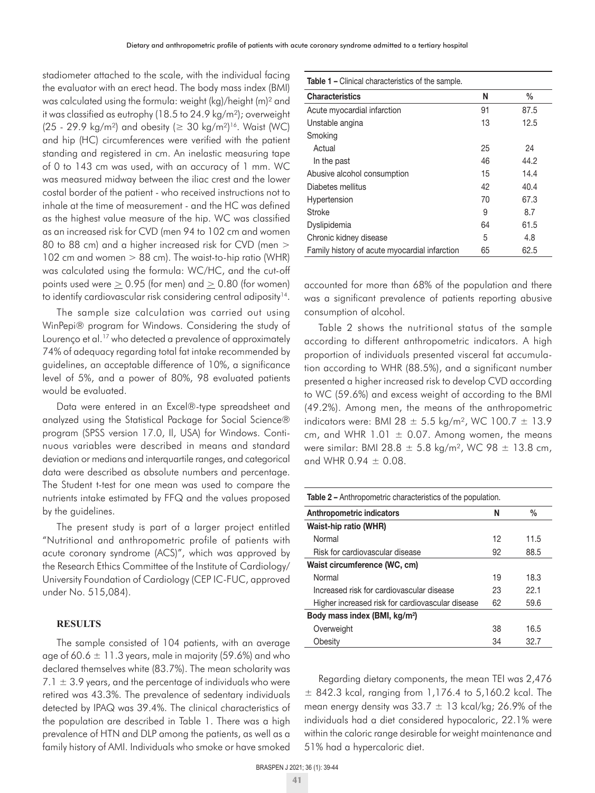stadiometer attached to the scale, with the individual facing the evaluator with an erect head. The body mass index (BMI) was calculated using the formula: weight (kg)/height (m)² and it was classified as eutrophy (18.5 to 24.9 kg/m²); overweight (25 - 29.9 kg/m<sup>2</sup>) and obesity ( $\geq$  30 kg/m<sup>2</sup>)<sup>16</sup>. Waist (WC) and hip (HC) circumferences were verified with the patient standing and registered in cm. An inelastic measuring tape of 0 to 143 cm was used, with an accuracy of 1 mm. WC was measured midway between the iliac crest and the lower costal border of the patient - who received instructions not to inhale at the time of measurement - and the HC was defined as the highest value measure of the hip. WC was classified as an increased risk for CVD (men 94 to 102 cm and women 80 to 88 cm) and a higher increased risk for CVD (men > 102 cm and women > 88 cm). The waist-to-hip ratio (WHR) was calculated using the formula: WC/HC, and the cut-off points used were  $> 0.95$  (for men) and  $> 0.80$  (for women) to identify cardiovascular risk considering central adiposity<sup>14</sup>.

The sample size calculation was carried out using WinPepi® program for Windows. Considering the study of Lourenço et al.<sup>17</sup> who detected a prevalence of approximately 74% of adequacy regarding total fat intake recommended by guidelines, an acceptable difference of 10%, a significance level of 5%, and a power of 80%, 98 evaluated patients would be evaluated.

Data were entered in an Excel®-type spreadsheet and analyzed using the Statistical Package for Social Science® program (SPSS version 17.0, Il, USA) for Windows. Continuous variables were described in means and standard deviation or medians and interquartile ranges, and categorical data were described as absolute numbers and percentage. The Student t-test for one mean was used to compare the nutrients intake estimated by FFQ and the values proposed by the guidelines.

The present study is part of a larger project entitled "Nutritional and anthropometric profile of patients with acute coronary syndrome (ACS)", which was approved by the Research Ethics Committee of the Institute of Cardiology/ University Foundation of Cardiology (CEP IC-FUC, approved under No. 515,084).

# **RESULTS**

The sample consisted of 104 patients, with an average age of 60.6  $\pm$  11.3 years, male in majority (59.6%) and who declared themselves white (83.7%). The mean scholarity was  $7.1 \pm 3.9$  years, and the percentage of individuals who were retired was 43.3%. The prevalence of sedentary individuals detected by IPAQ was 39.4%. The clinical characteristics of the population are described in Table 1. There was a high prevalence of HTN and DLP among the patients, as well as a family history of AMI. Individuals who smoke or have smoked **Table 1 –** Clinical characteristics of the sample.

| omnodi original doconocido or cho barripio:   |    |               |
|-----------------------------------------------|----|---------------|
| <b>Characteristics</b>                        | N  | $\frac{0}{0}$ |
| Acute myocardial infarction                   | 91 | 87.5          |
| Unstable angina                               | 13 | 12.5          |
| Smoking                                       |    |               |
| Actual                                        | 25 | 24            |
| In the past                                   | 46 | 44.2          |
| Abusive alcohol consumption                   | 15 | 14.4          |
| Diabetes mellitus                             | 42 | 40.4          |
| Hypertension                                  | 70 | 67.3          |
| Stroke                                        | 9  | 8.7           |
| Dyslipidemia                                  | 64 | 61.5          |
| Chronic kidney disease                        | 5  | 4.8           |
| Family history of acute myocardial infarction | 65 | 62.5          |

accounted for more than 68% of the population and there was a significant prevalence of patients reporting abusive consumption of alcohol.

Table 2 shows the nutritional status of the sample according to different anthropometric indicators. A high proportion of individuals presented visceral fat accumulation according to WHR (88.5%), and a significant number presented a higher increased risk to develop CVD according to WC (59.6%) and excess weight of according to the BMI (49.2%). Among men, the means of the anthropometric indicators were: BMI 28  $\pm$  5.5 kg/m<sup>2</sup>, WC 100.7  $\pm$  13.9 cm, and WHR 1.01  $\pm$  0.07. Among women, the means were similar: BMI 28.8  $\pm$  5.8 kg/m<sup>2</sup>, WC 98  $\pm$  13.8 cm, and WHR 0.94  $\pm$  0.08.

| <b>Table 2 –</b> Anthropometric characteristics of the population. |    |               |  |  |
|--------------------------------------------------------------------|----|---------------|--|--|
| <b>Anthropometric indicators</b>                                   | Ν  | $\frac{0}{0}$ |  |  |
| Waist-hip ratio (WHR)                                              |    |               |  |  |
| Normal                                                             | 12 | 11.5          |  |  |
| Risk for cardiovascular disease                                    | 92 | 88.5          |  |  |
| Waist circumference (WC, cm)                                       |    |               |  |  |
| Normal                                                             | 19 | 18.3          |  |  |
| Increased risk for cardiovascular disease                          | 23 | 22.1          |  |  |
| Higher increased risk for cardiovascular disease                   | 62 | 59.6          |  |  |
| Body mass index (BMI, kg/m <sup>2</sup> )                          |    |               |  |  |
| Overweight                                                         | 38 | 16.5          |  |  |
| Obesity                                                            | 34 | 32.7          |  |  |

Regarding dietary components, the mean TEI was 2,476  $±$  842.3 kcal, ranging from 1,176.4 to 5,160.2 kcal. The mean energy density was 33.7  $\pm$  13 kcal/kg; 26.9% of the individuals had a diet considered hypocaloric, 22.1% were within the caloric range desirable for weight maintenance and 51% had a hypercaloric diet.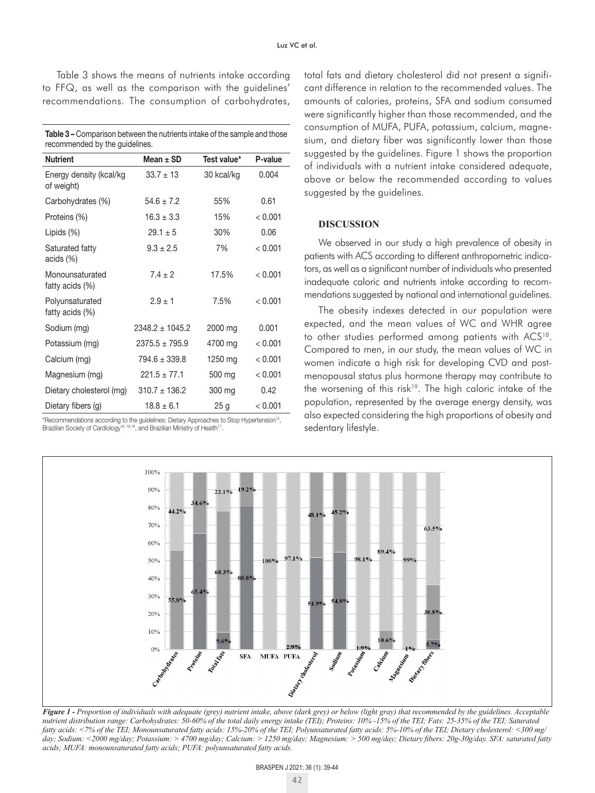Table 3 shows the means of nutrients intake according to FFQ, as well as the comparison with the guidelines' recommendations. The consumption of carbohydrates,

| <b>Table 3 –</b> Comparison between the nutrients intake of the sample and those |
|----------------------------------------------------------------------------------|
| recommended by the guidelines.                                                   |

| <b>Nutrient</b>                       | Mean $\pm$ SD      | Test value* | P-value |
|---------------------------------------|--------------------|-------------|---------|
| Energy density (kcal/kg<br>of weight) | $33.7 \pm 13$      | 30 kcal/kg  | 0.004   |
| Carbohydrates (%)                     | $54.6 \pm 7.2$     | 55%         | 0.61    |
| Proteins (%)                          | $16.3 \pm 3.3$     | 15%         | < 0.001 |
| Lipids $(\%)$                         | $29.1 \pm 5$       | 30%         | 0.06    |
| Saturated fatty<br>acids $(\%)$       | $9.3 \pm 2.5$      | 7%          | < 0.001 |
| Monounsaturated<br>fatty acids (%)    | $7.4 \pm 2$        | 17.5%       | < 0.001 |
| Polyunsaturated<br>fatty acids (%)    | $2.9 + 1$          | 7.5%        | < 0.001 |
| Sodium (mg)                           | $2348.2 + 1045.2$  | 2000 mg     | 0.001   |
| Potassium (mg)                        | $2375.5 \pm 795.9$ | 4700 mg     | < 0.001 |
| Calcium (mg)                          | $794.6 \pm 339.8$  | 1250 mg     | < 0.001 |
| Magnesium (mg)                        | $221.5 + 77.1$     | 500 mg      | < 0.001 |
| Dietary cholesterol (mg)              | $310.7 \pm 136.2$  | 300 mg      | 0.42    |
| Dietary fibers (g)                    | $18.8 \pm 6.1$     | 25g         | < 0.001 |

\*Recommendations according to the guidelines: Dietary Approaches to Stop Hypertension15, Brazilian Society of Cardiology<sup>16, 18,19</sup>, and Brazilian Ministry of Health<sup>17</sup>.

total fats and dietary cholesterol did not present a significant difference in relation to the recommended values. The amounts of calories, proteins, SFA and sodium consumed were significantly higher than those recommended, and the consumption of MUFA, PUFA, potassium, calcium, magnesium, and dietary fiber was significantly lower than those suggested by the guidelines. Figure 1 shows the proportion of individuals with a nutrient intake considered adequate, above or below the recommended according to values suggested by the guidelines.

# **DISCUSSION**

We observed in our study a high prevalence of obesity in patients with ACS according to different anthropometric indicators, as well as a significant number of individuals who presented inadequate caloric and nutrients intake according to recommendations suggested by national and international guidelines.

The obesity indexes detected in our population were expected, and the mean values of WC and WHR agree to other studies performed among patients with ACS<sup>18</sup>. Compared to men, in our study, the mean values of WC in women indicate a high risk for developing CVD and postmenopausal status plus hormone therapy may contribute to the worsening of this risk<sup>19</sup>. The high caloric intake of the population, represented by the average energy density, was also expected considering the high proportions of obesity and sedentary lifestyle.



*Figure 1 - Proportion of individuals with adequate (grey) nutrient intake, above (dark grey) or below (light gray) that recommended by the guidelines. Acceptable nutrient distribution range: Carbohydrates: 50-60% of the total daily energy intake (TEI); Proteins: 10% -15% of the TEI; Fats: 25-35% of the TEI; Saturated fatty acids: <7% of the TEI; Monounsaturated fatty acids: 15%-20% of the TEI; Polyunsaturated fatty acids: 5%-10% of the TEI; Dietary cholesterol: <300 mg/ day; Sodium: <2000 mg/day; Potassium: > 4700 mg/day; Calcium: > 1250 mg/day; Magnesium: > 500 mg/day; Dietary fibers: 20g-30g/day. SFA: saturated fatty acids; MUFA: monounsaturated fatty acids; PUFA: polyunsaturated fatty acids.*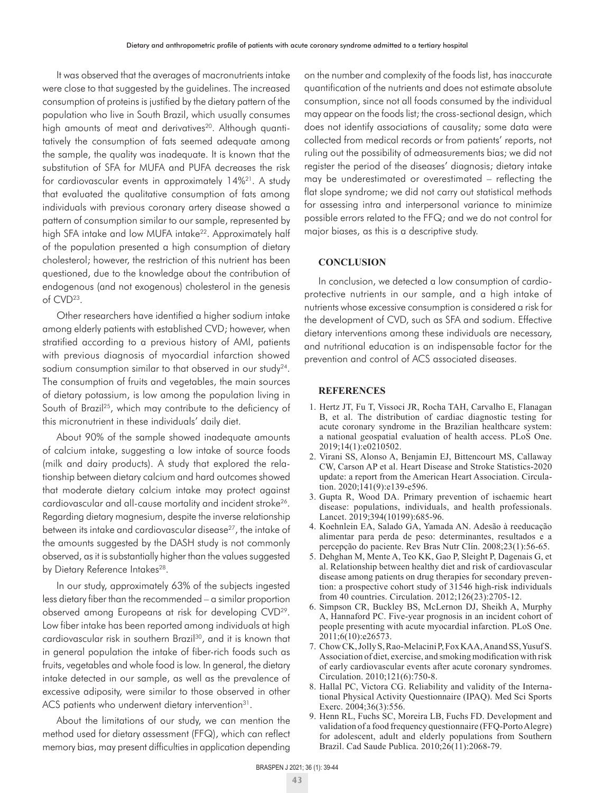It was observed that the averages of macronutrients intake were close to that suggested by the guidelines. The increased consumption of proteins is justified by the dietary pattern of the population who live in South Brazil, which usually consumes high amounts of meat and derivatives<sup>20</sup>. Although quantitatively the consumption of fats seemed adequate among the sample, the quality was inadequate. It is known that the substitution of SFA for MUFA and PUFA decreases the risk for cardiovascular events in approximately 14%21. A study that evaluated the qualitative consumption of fats among individuals with previous coronary artery disease showed a pattern of consumption similar to our sample, represented by high SFA intake and low MUFA intake<sup>22</sup>. Approximately half of the population presented a high consumption of dietary cholesterol; however, the restriction of this nutrient has been questioned, due to the knowledge about the contribution of endogenous (and not exogenous) cholesterol in the genesis of CVD23.

Other researchers have identified a higher sodium intake among elderly patients with established CVD; however, when stratified according to a previous history of AMI, patients with previous diagnosis of myocardial infarction showed sodium consumption similar to that observed in our study<sup>24</sup>. The consumption of fruits and vegetables, the main sources of dietary potassium, is low among the population living in South of Brazil<sup>25</sup>, which may contribute to the deficiency of this micronutrient in these individuals' daily diet.

About 90% of the sample showed inadequate amounts of calcium intake, suggesting a low intake of source foods (milk and dairy products). A study that explored the relationship between dietary calcium and hard outcomes showed that moderate dietary calcium intake may protect against cardiovascular and all-cause mortality and incident stroke26. Regarding dietary magnesium, despite the inverse relationship between its intake and cardiovascular disease<sup>27</sup>, the intake of the amounts suggested by the DASH study is not commonly observed, as it is substantially higher than the values suggested by Dietary Reference Intakes<sup>28</sup>.

In our study, approximately 63% of the subjects ingested less dietary fiber than the recommended – a similar proportion observed among Europeans at risk for developing CVD29. Low fiber intake has been reported among individuals at high cardiovascular risk in southern Brazil<sup>30</sup>, and it is known that in general population the intake of fiber-rich foods such as fruits, vegetables and whole food is low. In general, the dietary intake detected in our sample, as well as the prevalence of excessive adiposity, were similar to those observed in other ACS patients who underwent dietary intervention<sup>31</sup>.

About the limitations of our study, we can mention the method used for dietary assessment (FFQ), which can reflect memory bias, may present difficulties in application depending on the number and complexity of the foods list, has inaccurate quantification of the nutrients and does not estimate absolute consumption, since not all foods consumed by the individual may appear on the foods list; the cross-sectional design, which does not identify associations of causality; some data were collected from medical records or from patients' reports, not ruling out the possibility of admeasurements bias; we did not register the period of the diseases' diagnosis; dietary intake may be underestimated or overestimated – reflecting the flat slope syndrome; we did not carry out statistical methods for assessing intra and interpersonal variance to minimize possible errors related to the FFQ; and we do not control for major biases, as this is a descriptive study.

# **CONCLUSION**

In conclusion, we detected a low consumption of cardioprotective nutrients in our sample, and a high intake of nutrients whose excessive consumption is considered a risk for the development of CVD, such as SFA and sodium. Effective dietary interventions among these individuals are necessary, and nutritional education is an indispensable factor for the prevention and control of ACS associated diseases.

#### **REFERENCES**

- 1. Hertz JT, Fu T, Vissoci JR, Rocha TAH, Carvalho E, Flanagan B, et al. The distribution of cardiac diagnostic testing for acute coronary syndrome in the Brazilian healthcare system: a national geospatial evaluation of health access. PLoS One. 2019;14(1):e0210502.
- 2. Virani SS, Alonso A, Benjamin EJ, Bittencourt MS, Callaway CW, Carson AP et al. Heart Disease and Stroke Statistics-2020 update: a report from the American Heart Association. Circulation. 2020;141(9):e139-e596.
- 3. Gupta R, Wood DA. Primary prevention of ischaemic heart disease: populations, individuals, and health professionals. Lancet. 2019;394(10199):685-96.
- 4. Koehnlein EA, Salado GA, Yamada AN. Adesão à reeducação alimentar para perda de peso: determinantes, resultados e a percepção do paciente. Rev Bras Nutr Clín. 2008;23(1):56-65.
- 5. Dehghan M, Mente A, Teo KK, Gao P, Sleight P, Dagenais G, et al. Relationship between healthy diet and risk of cardiovascular disease among patients on drug therapies for secondary prevention: a prospective cohort study of 31546 high-risk individuals from 40 countries. Circulation. 2012;126(23):2705-12.
- 6. Simpson CR, Buckley BS, McLernon DJ, Sheikh A, Murphy A, Hannaford PC. Five-year prognosis in an incident cohort of people presenting with acute myocardial infarction. PLoS One. 2011;6(10):e26573.
- 7. Chow CK, Jolly S, Rao-Melacini P, Fox KAA, Anand SS, Yusuf S. Association of diet, exercise, and smoking modification with risk of early cardiovascular events after acute coronary syndromes. Circulation. 2010;121(6):750-8.
- 8. Hallal PC, Victora CG. Reliability and validity of the International Physical Activity Questionnaire (IPAQ). Med Sci Sports Exerc. 2004;36(3):556.
- 9. Henn RL, Fuchs SC, Moreira LB, Fuchs FD. Development and validation of a food frequency questionnaire (FFQ-Porto Alegre) for adolescent, adult and elderly populations from Southern Brazil. Cad Saude Publica. 2010;26(11):2068-79.